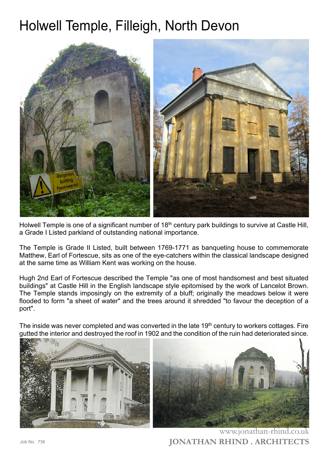## Holwell Temple, Filleigh, North Devon



Holwell Temple is one of a significant number of 18<sup>th</sup> century park buildings to survive at Castle Hill, a Grade I Listed parkland of outstanding national importance.

The Temple is Grade II Listed, built between 1769-1771 as banqueting house to commemorate Matthew, Earl of Fortescue, sits as one of the eye-catchers within the classical landscape designed at the same time as William Kent was working on the house.

Hugh 2nd Earl of Fortescue described the Temple "as one of most handsomest and best situated buildings" at Castle Hill in the English landscape style epitomised by the work of Lancelot Brown. The Temple stands imposingly on the extremity of a bluff; originally the meadows below it were flooded to form "a sheet of water" and the trees around it shredded "to favour the deception of a port".

The inside was never completed and was converted in the late 19<sup>th</sup> century to workers cottages. Fire gutted the interior and destroyed the roof in 1902 and the condition of the ruin had deteriorated since.





**JONATHAN RHIND . ARCHITECTS** www.jonathan-rhind.co.uk